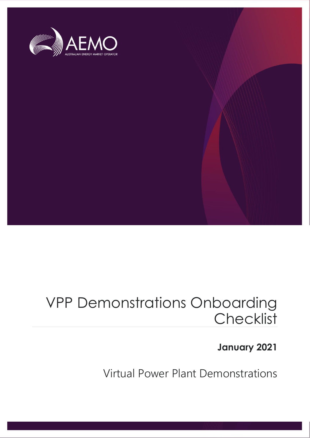

### VPP Demonstrations Onboarding **Checklist**

### **January 2021**

Virtual Power Plant Demonstrations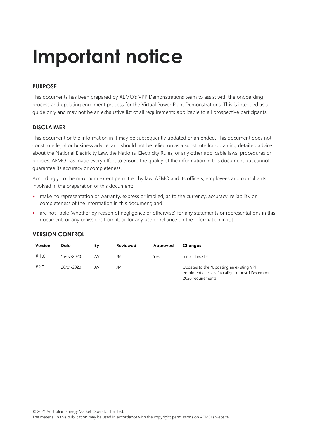## **Important notice**

### **PURPOSE**

This documents has been prepared by AEMO's VPP Demonstrations team to assist with the onboarding process and updating enrolment process for the Virtual Power Plant Demonstrations. This is intended as a guide only and may not be an exhaustive list of all requirements applicable to all prospective participants.

#### **DISCLAIMER**

This document or the information in it may be subsequently updated or amended. This document does not constitute legal or business advice, and should not be relied on as a substitute for obtaining detailed advice about the National Electricity Law, the National Electricity Rules, or any other applicable laws, procedures or policies. AEMO has made every effort to ensure the quality of the information in this document but cannot guarantee its accuracy or completeness.

Accordingly, to the maximum extent permitted by law, AEMO and its officers, employees and consultants involved in the preparation of this document:

- make no representation or warranty, express or implied, as to the currency, accuracy, reliability or completeness of the information in this document; and
- are not liable (whether by reason of negligence or otherwise) for any statements or representations in this document, or any omissions from it, or for any use or reliance on the information in it.]

| Version | Date       | Βv | Reviewed | Approved | Changes                                                                                                            |
|---------|------------|----|----------|----------|--------------------------------------------------------------------------------------------------------------------|
| # 1.0   | 15/07/2020 | AV | JM       | Yes      | Initial checklist                                                                                                  |
| #2.0    | 28/01/2020 | AV | JM       |          | Updates to the "Updating an existing VPP<br>enrolment checklist" to align to post 1 December<br>2020 requirements. |

#### **VERSION CONTROL**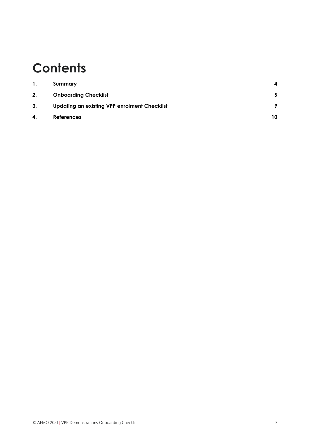### **Contents**

| 1. | Summary                                             | 4         |
|----|-----------------------------------------------------|-----------|
| 2. | <b>Onboarding Checklist</b>                         | -5        |
| 3. | <b>Updating an existing VPP enrolment Checklist</b> | $\bullet$ |
| 4. | <b>References</b>                                   | 10        |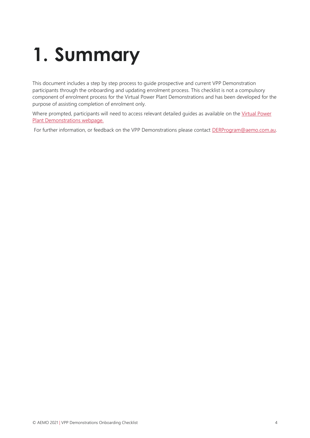## <span id="page-3-0"></span>**1. Summary**

This document includes a step by step process to guide prospective and current VPP Demonstration participants through the onboarding and updating enrolment process. This checklist is not a compulsory component of enrolment process for the Virtual Power Plant Demonstrations and has been developed for the purpose of assisting completion of enrolment only.

Where prompted, participants will need to access relevant detailed quides as available on the Virtual Power [Plant Demonstrations webpage.](https://aemo.com.au/initiatives/major-programs/nem-distributed-energy-resources-der-program/pilots-and-trials/virtual-power-plant-vpp-demonstrations)

For further information, or feedback on the VPP Demonstrations please contact **DERProgram@aemo.com.au.**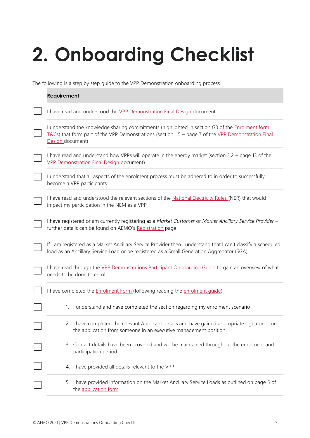# <span id="page-4-0"></span>**2. Onboarding Checklist**

The following is a step by step guide to the VPP Demonstration onboarding process

| <b>Requirement</b>                                                                                                                                                                                                            |
|-------------------------------------------------------------------------------------------------------------------------------------------------------------------------------------------------------------------------------|
| I have read and understood the <b>VPP Demonstration Final Design</b> document                                                                                                                                                 |
| I understand the knowledge sharing commitments (highlighted in section G3 of the Enrolment form<br>$I&CS$ ) that form part of the VPP Demonstrations (section 1.5 – page 7 of the VPP Demonstration Final<br>Design document) |
| I have read and understand how VPPs will operate in the energy market (section 3.2 – page 13 of the<br><b>VPP Demonstration Final Design document)</b>                                                                        |
| I understand that all aspects of the enrolment process must be adhered to in order to successfully<br>become a VPP participants                                                                                               |
| I have read and understood the relevant sections of the National Electricity Rules (NER) that would<br>impact my participation in the NEM as a VPP                                                                            |
| I have registered or am currently registering as a Market Customer or Market Ancillary Service Provider -<br>further details can be found on AEMO's Registration page                                                         |
| If I am registered as a Market Ancillary Service Provider then I understand that I can't classify a scheduled<br>load as an Ancillary Service Load or be registered as a Small Generation Aggregator (SGA)                    |
| I have read through the VPP Demonstrations Participant Onboarding Guide to gain an overview of what<br>needs to be done to enrol.                                                                                             |
| I have completed the <b>Enrolment Form</b> (following reading the enrolment quide)                                                                                                                                            |
| 1. I understand and have completed the section regarding my enrolment scenario                                                                                                                                                |
| 2. I have completed the relevant Applicant details and have gained appropriate signatories on<br>the application from someone in an executive management position                                                             |
| 3. Contact details have been provided and will be maintained throughout the enrolment and<br>participation period                                                                                                             |
| 4. I have provided all details relevant to the VPP                                                                                                                                                                            |
| 5. I have provided information on the Market Ancillary Service Loads as outlined on page 5 of<br>the application form                                                                                                         |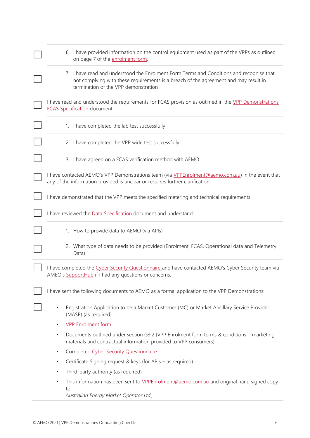| 6. I have provided information on the control equipment used as part of the VPPs as outlined<br>on page 7 of the enrolment form.                                                                                         |  |  |  |
|--------------------------------------------------------------------------------------------------------------------------------------------------------------------------------------------------------------------------|--|--|--|
| 7. I have read and understood the Enrolment Form Terms and Conditions and recognise that<br>not complying with these requirements is a breach of the agreement and may result in<br>termination of the VPP demonstration |  |  |  |
| I have read and understood the requirements for FCAS provision as outlined in the VPP Demonstrations<br><b>FCAS Specification document</b>                                                                               |  |  |  |
| 1. I have completed the lab test successfully                                                                                                                                                                            |  |  |  |
| 2. I have completed the VPP wide test successfully                                                                                                                                                                       |  |  |  |
| 3. I have agreed on a FCAS verification method with AEMO                                                                                                                                                                 |  |  |  |
| I have contacted AEMO's VPP Demonstrations team (via VPPEnrolment@aemo.com.au) in the event that<br>any of the information provided is unclear or requires further clarification                                         |  |  |  |
| I have demonstrated that the VPP meets the specified metering and technical requirements                                                                                                                                 |  |  |  |
| I have reviewed the Data Specification document and understand:                                                                                                                                                          |  |  |  |
| 1. How to provide data to AEMO (via APIs)                                                                                                                                                                                |  |  |  |
| 2. What type of data needs to be provided (Enrolment, FCAS, Operational data and Telemetry<br>Data)                                                                                                                      |  |  |  |
| I have completed the Cyber Security Questionnaire and have contacted AEMO's Cyber Security team via<br>AMEO's SupportHub if I had any questions or concerns.                                                             |  |  |  |
| I have sent the following documents to AEMO as a formal application to the VPP Demonstrations:                                                                                                                           |  |  |  |
| Registration Application to be a Market Customer (MC) or Market Ancillary Service Provider<br>$\bullet$<br>(MASP) (as required)                                                                                          |  |  |  |
| <b>VPP Enrolment form</b><br>$\bullet$                                                                                                                                                                                   |  |  |  |
| Documents outlined under section G3.2 (VPP Enrolment form terms & conditions – marketing<br>$\bullet$<br>materials and contractual information provided to VPP consumers)                                                |  |  |  |
| Completed Cyber Security Questionnaire<br>$\bullet$                                                                                                                                                                      |  |  |  |
| Certificate Signing request & keys (for APIs - as required)<br>$\bullet$                                                                                                                                                 |  |  |  |
| Third-party authority (as required)<br>$\bullet$                                                                                                                                                                         |  |  |  |
| This information has been sent to VPPEnrolment@aemo.com.au and original hand signed copy<br>$\bullet$<br>to:                                                                                                             |  |  |  |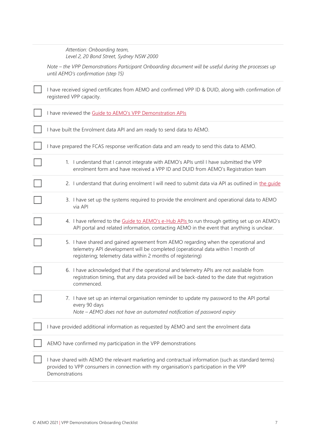| Attention: Onboarding team,              |
|------------------------------------------|
| Level 2, 20 Bond Street, Sydney NSW 2000 |

*Note – the VPP Demonstrations Participant Onboarding document will be useful during the processes up until AEMO's confirmation (step 15)*

| I have received signed certificates from AEMO and confirmed VPP ID & DUID, along with confirmation of<br>registered VPP capacity.                                                                                                    |
|--------------------------------------------------------------------------------------------------------------------------------------------------------------------------------------------------------------------------------------|
| I have reviewed the Guide to AEMO's VPP Demonstration APIs                                                                                                                                                                           |
| I have built the Enrolment data API and am ready to send data to AEMO.                                                                                                                                                               |
| I have prepared the FCAS response verification data and am ready to send this data to AEMO.                                                                                                                                          |
| 1. I understand that I cannot integrate with AEMO's APIs until I have submitted the VPP<br>enrolment form and have received a VPP ID and DUID from AEMO's Registration team                                                          |
| 2. I understand that during enrolment I will need to submit data via API as outlined in the guide                                                                                                                                    |
| 3. I have set up the systems required to provide the enrolment and operational data to AEMO<br>via API                                                                                                                               |
| 4. I have referred to the Guide to AEMO's e-Hub APIs to run through getting set up on AEMO's<br>API portal and related information, contacting AEMO in the event that anything is unclear.                                           |
| 5. I have shared and gained agreement from AEMO regarding when the operational and<br>telemetry API development will be completed (operational data within 1 month of<br>registering; telemetry data within 2 months of registering) |
| 6. I have acknowledged that if the operational and telemetry APIs are not available from<br>registration timing, that any data provided will be back-dated to the date that registration<br>commenced.                               |
| 7. I have set up an internal organisation reminder to update my password to the API portal<br>every 90 days<br>Note - AEMO does not have an automated notification of password expiry                                                |
| I have provided additional information as requested by AEMO and sent the enrolment data                                                                                                                                              |
| AEMO have confirmed my participation in the VPP demonstrations                                                                                                                                                                       |
| I have shared with AEMO the relevant marketing and contractual information (such as standard terms)<br>provided to VPP consumers in connection with my organisation's participation in the VPP<br>Demonstrations                     |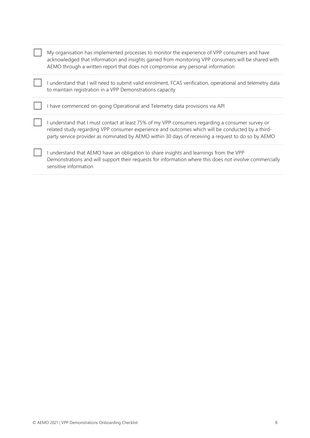| My organisation has implemented processes to monitor the experience of VPP consumers and have<br>acknowledged that information and insights gained from monitoring VPP consumers will be shared with<br>AEMO through a written report that does not compromise any personal information                    |
|------------------------------------------------------------------------------------------------------------------------------------------------------------------------------------------------------------------------------------------------------------------------------------------------------------|
| I understand that I will need to submit valid enrolment, FCAS verification, operational and telemetry data<br>to maintain registration in a VPP Demonstrations capacity                                                                                                                                    |
| I have commenced on-going Operational and Telemetry data provisions via API                                                                                                                                                                                                                                |
| I understand that I must contact at least 75% of my VPP consumers regarding a consumer survey or<br>related study regarding VPP consumer experience and outcomes which will be conducted by a third-<br>party service provider as nominated by AEMO within 30 days of receiving a request to do so by AEMO |
| I understand that AEMO have an obligation to share insights and learnings from the VPP<br>Demonstrations and will support their requests for information where this does not involve commercially<br>sensitive information                                                                                 |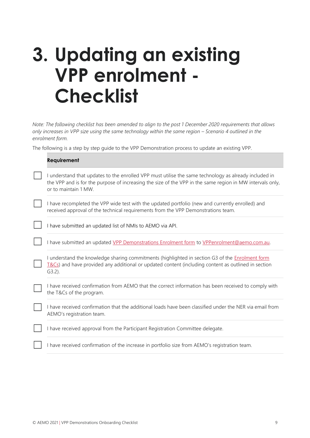### <span id="page-8-0"></span>**3. Updating an existing VPP enrolment - Checklist**

*Note: The following checklist has been amended to align to the post 1 December 2020 requirements that allows only increases in VPP size using the same technology within the same region – Scenario 4 outlined in the enrolment form.* 

The following is a step by step guide to the VPP Demonstration process to update an existing VPP.

| <b>Requirement</b>                                                                                                                                                                                                                         |
|--------------------------------------------------------------------------------------------------------------------------------------------------------------------------------------------------------------------------------------------|
| I understand that updates to the enrolled VPP must utilise the same technology as already included in<br>the VPP and is for the purpose of increasing the size of the VPP in the same region in MW intervals only,<br>or to maintain 1 MW. |
| I have recompleted the VPP wide test with the updated portfolio (new and currently enrolled) and<br>received approval of the technical requirements from the VPP Demonstrations team.                                                      |
| I have submitted an updated list of NMIs to AEMO via API.                                                                                                                                                                                  |
| I have submitted an updated VPP Demonstrations Enrolment form to VPPenrolment@aemo.com.au.                                                                                                                                                 |
| I understand the knowledge sharing commitments (highlighted in section G3 of the Enrolment form<br>T&Cs) and have provided any additional or updated content (including content as outlined in section<br>$G3.2$ ).                        |
| I have received confirmation from AEMO that the correct information has been received to comply with<br>the T&Cs of the program.                                                                                                           |
| I have received confirmation that the additional loads have been classified under the NER via email from<br>AEMO's registration team.                                                                                                      |
| I have received approval from the Participant Registration Committee delegate.                                                                                                                                                             |
| I have received confirmation of the increase in portfolio size from AEMO's registration team.                                                                                                                                              |